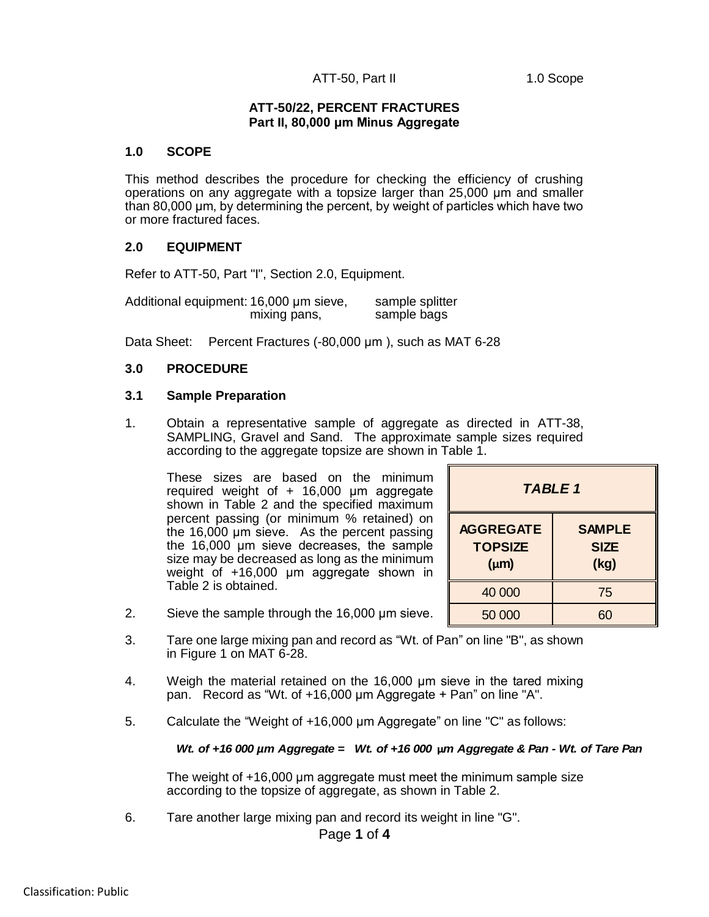# ATT-50, Part II 1.0 Scope

# **ATT-50/22, PERCENT FRACTURES Part II, 80,000 μm Minus Aggregate**

### **1.0 SCOPE**

This method describes the procedure for checking the efficiency of crushing operations on any aggregate with a topsize larger than 25,000 μm and smaller than 80,000 μm, by determining the percent, by weight of particles which have two or more fractured faces.

# **2.0 EQUIPMENT**

Refer to ATT-50, Part "I", Section 2.0, Equipment.

Additional equipment: 16,000 μm sieve, sample splitter mixing pans, sample bags

Data Sheet: Percent Fractures (-80,000 μm ), such as MAT 6-28

# **3.0 PROCEDURE**

### **3.1 Sample Preparation**

1. Obtain a representative sample of aggregate as directed in ATT-38, SAMPLING, Gravel and Sand. The approximate sample sizes required according to the aggregate topsize are shown in Table 1.

These sizes are based on the minimum required weight of + 16,000 μm aggregate shown in Table 2 and the specified maximum percent passing (or minimum % retained) on the 16,000 μm sieve. As the percent passing the 16,000 μm sieve decreases, the sample size may be decreased as long as the minimum weight of +16,000 μm aggregate shown in Table 2 is obtained.

| TABLE 1                                         |                                      |  |  |
|-------------------------------------------------|--------------------------------------|--|--|
| <b>AGGREGATE</b><br><b>TOPSIZE</b><br>$(\mu m)$ | <b>SAMPLE</b><br><b>SIZE</b><br>(kg) |  |  |
| 40 000                                          | 75                                   |  |  |
| 50 000                                          | 60                                   |  |  |

- 2. Sieve the sample through the 16,000 μm sieve.
- 2. Sieve the sample through the 16,000  $\mu$ m sieve.<br>
3. Tare one large mixing pan and record as "Wt. of Pan" on line "B", as shown<br>
in Figure 1 on MAT 6-28.<br>
4. Weigh the material retained on the 16,000  $\mu$ m sieve in the 3. Tare one large mixing pan and record as "Wt. of Pan" on line "B", as shown in Figure 1 on MAT 6-28.
	- 4. Weigh the material retained on the 16,000 μm sieve in the tared mixing pan. Record as "Wt. of +16,000 μm Aggregate + Pan" on line "A".
	- 5. Calculate the "Weight of +16,000 μm Aggregate" on line "C" as follows:

### *Wt. of +16 000 µm Aggregate = Wt. of +16 000* **µ***m Aggregate & Pan - Wt. of Tare Pan*

The weight of +16,000 μm aggregate must meet the minimum sample size according to the topsize of aggregate, as shown in Table 2.

6. Tare another large mixing pan and record its weight in line "G".

Page **1** of **4**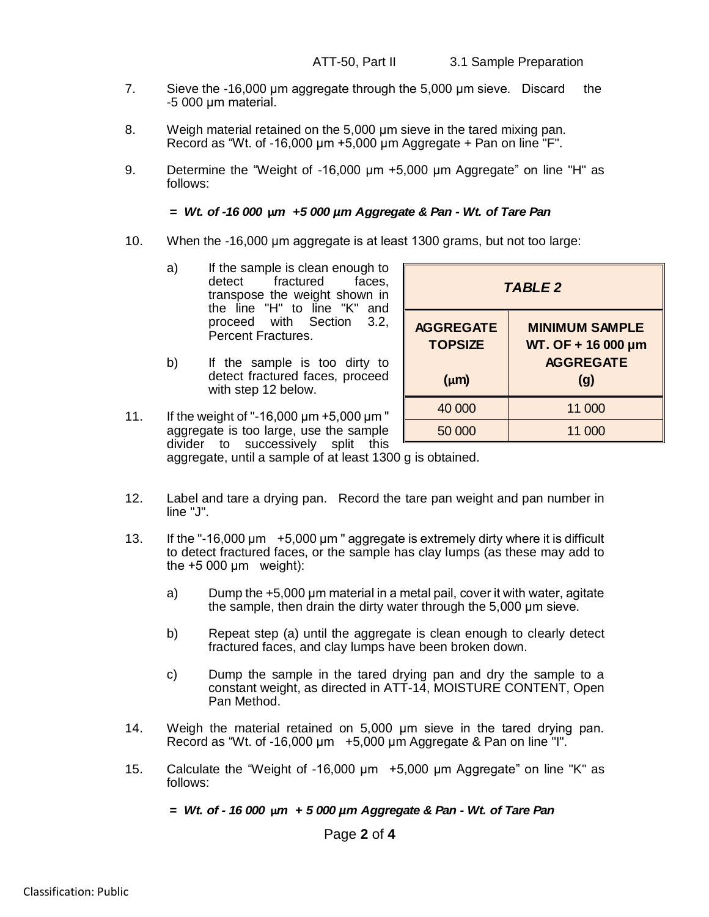- 7. Sieve the -16,000 μm aggregate through the 5,000 μm sieve. Discard the -5 000 μm material.
- 8. Weigh material retained on the 5,000 μm sieve in the tared mixing pan. Record as "Wt. of -16,000  $\mu$ m +5,000  $\mu$ m Aggregate + Pan on line "F".
- 9. Determine the "Weight of -16,000 μm +5,000 μm Aggregate" on line "H" as follows:

### *= Wt. of -16 000* **µ***m +5 000 µm Aggregate & Pan - Wt. of Tare Pan*

- 10. When the -16,000 μm aggregate is at least 1300 grams, but not too large:
	- a) If the sample is clean enough to detect fractured faces. transpose the weight shown in the line "H" to line "K" and proceed with Section 3.2, Percent Fractures.
	- b) If the sample is too dirty to detect fractured faces, proceed with step 12 below.

| <b>TABLE 2</b>                     |                                                                 |  |  |  |
|------------------------------------|-----------------------------------------------------------------|--|--|--|
| <b>AGGREGATE</b><br><b>TOPSIZE</b> | <b>MINIMUM SAMPLE</b><br>WT. OF + 16 000 µm<br><b>AGGREGATE</b> |  |  |  |
| $(\mu m)$                          | (g)                                                             |  |  |  |
| 40 000                             | 11 000                                                          |  |  |  |
| 50 000                             | 11 000                                                          |  |  |  |

11. If the weight of "-16,000 μm +5,000 μm " aggregate is too large, use the sample divider to successively split this aggregate, until a sample of at least 1300 g is obtained.

12. Label and tare a drying pan. Record the tare pan weight and pan number in line "J".

- 13. If the "-16,000 μm +5,000 μm " aggregate is extremely dirty where it is difficult to detect fractured faces, or the sample has clay lumps (as these may add to the  $+5000 \mu m$  weight):
	- a) Dump the +5,000 μm material in a metal pail, cover it with water, agitate the sample, then drain the dirty water through the 5,000 μm sieve.
	- b) Repeat step (a) until the aggregate is clean enough to clearly detect fractured faces, and clay lumps have been broken down.
	- c) Dump the sample in the tared drying pan and dry the sample to a constant weight, as directed in ATT-14, MOISTURE CONTENT, Open Pan Method.
- 14. Weigh the material retained on 5,000 µm sieve in the tared drying pan. Record as "Wt. of -16,000 μm +5,000 μm Aggregate & Pan on line "I".
- 15. Calculate the "Weight of -16,000 μm +5,000 μm Aggregate" on line "K" as follows:

*= Wt. of - 16 000* **µ***m + 5 000 µm Aggregate & Pan - Wt. of Tare Pan*

Page **2** of **4**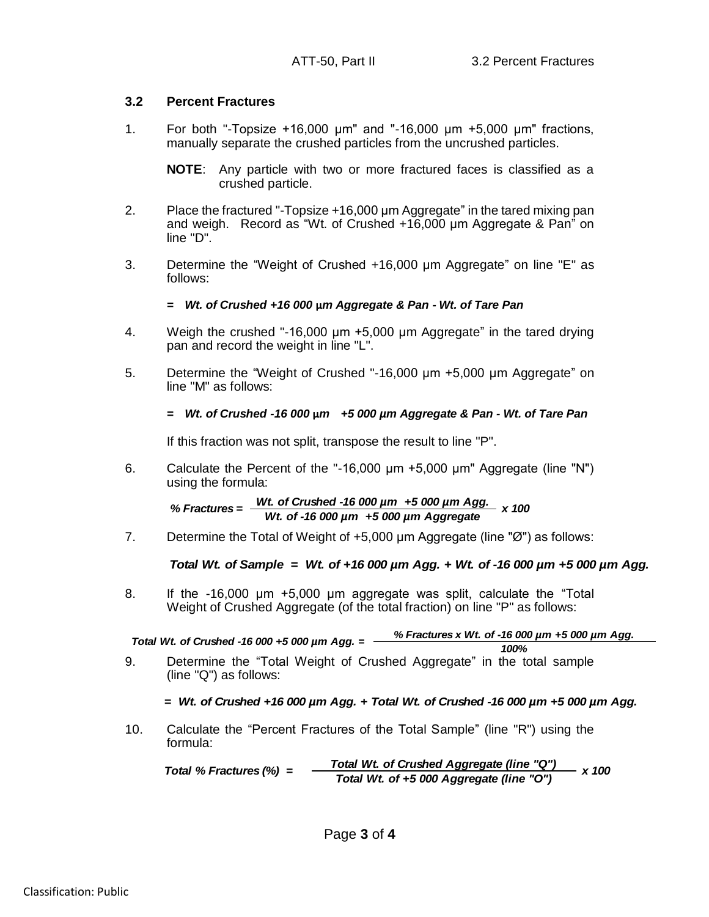# **3.2 Percent Fractures**

1. For both "-Topsize +16,000 μm" and "-16,000 μm +5,000 μm" fractions, manually separate the crushed particles from the uncrushed particles.

**NOTE**: Any particle with two or more fractured faces is classified as a crushed particle.

- 2. Place the fractured "-Topsize +16,000 μm Aggregate" in the tared mixing pan and weigh. Record as "Wt. of Crushed +16,000 μm Aggregate & Pan" on line "D".
- 3. Determine the "Weight of Crushed +16,000 μm Aggregate" on line "E" as follows:

# *= Wt. of Crushed +16 000* **µ***m Aggregate & Pan - Wt. of Tare Pan*

- 4. Weigh the crushed "-16,000 μm +5,000 μm Aggregate" in the tared drying pan and record the weight in line "L".
- 5. Determine the "Weight of Crushed "-16,000 μm +5,000 μm Aggregate" on line "M" as follows:

# *= Wt. of Crushed -16 000* **µ***m +5 000 µm Aggregate & Pan - Wt. of Tare Pan*

If this fraction was not split, transpose the result to line "P".

6. Calculate the Percent of the "-16,000 μm +5,000 μm" Aggregate (line "N") using the formula:

*Wt. of Crushed -16 000 µm +5 000 µm Agg.* % Fractures =  $\frac{Wt}{Wt}$  of -16 000 µm +5 000 µm Aggregate

7. Determine the Total of Weight of +5,000 μm Aggregate (line "Ø") as follows:

*Total Wt. of Sample = Wt. of +16 000 µm Agg. + Wt. of -16 000 µm +5 000 µm Agg.*

8. If the -16,000 μm +5,000 μm aggregate was split, calculate the "Total Weight of Crushed Aggregate (of the total fraction) on line "P" as follows:

*% Fractures x Wt. of -16 000 µm +5 000 µm Agg. 100% Total Wt. of Crushed -16 000 +5 000 µm Agg. =*

9. Determine the "Total Weight of Crushed Aggregate" in the total sample (line "Q") as follows:

# *= Wt. of Crushed +16 000 µm Agg. + Total Wt. of Crushed -16 000 µm +5 000 µm Agg.*

10. Calculate the "Percent Fractures of the Total Sample" (line "R") using the formula:

*Total % Fractures (%) = Total Wt. of Crushed Aggregate (line "Q") Total Wt. of +5 000 Aggregate (line "O") x 100*